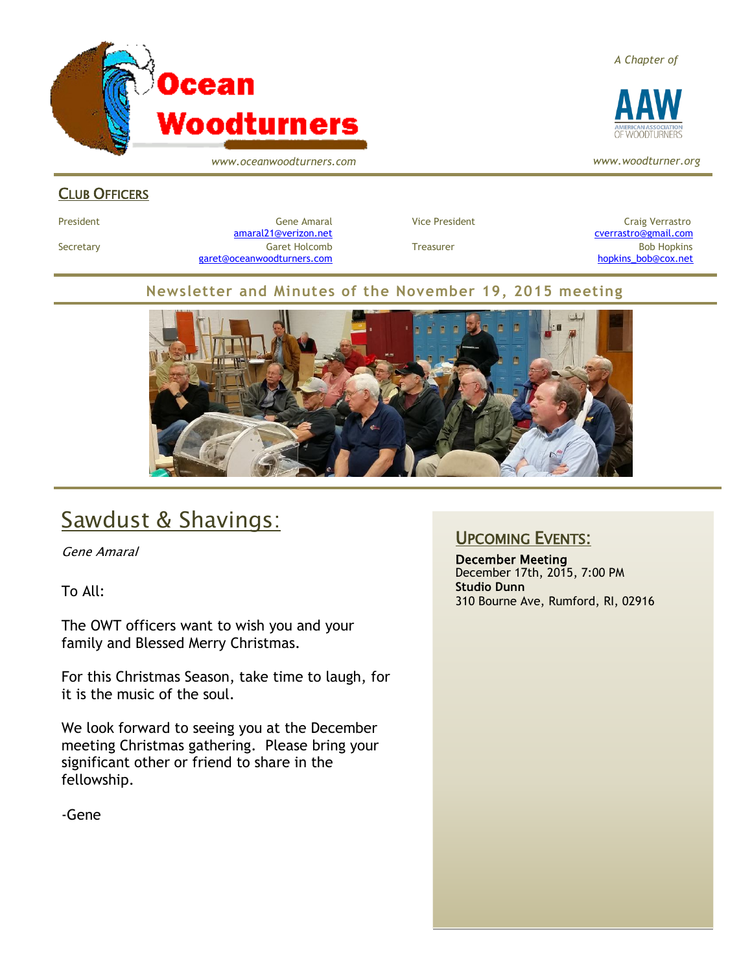

*www.oceanwoodturners.com*

*A Chapter of*



*www.woodturner.org*

#### CLUB OFFICERS

President Craig Verrastro Cene Amaral Cene Amaral Craig Verrastro Craig Verrastro [amaral21@verizon.net](mailto:amaral21@verizon.net) [cverrastro@gmail.com](mailto:cverrastro@gmail.com) Secretary Garet Holcomb Treasurer Bob Hopkins Bob Hopkins (Bob Hopkins Garet Holcomb [garet@oceanwoodturners.com](mailto:garet@oceanwoodturners.com) [hopkins\\_bob@cox.net](mailto:hopkins_bob@cox.net)

#### **Newsletter and Minutes of the November 19, 2015 meeting**



# Sawdust & Shavings:

Gene Amaral

To All:

The OWT officers want to wish you and your family and Blessed Merry Christmas.

For this Christmas Season, take time to laugh, for it is the music of the soul.

We look forward to seeing you at the December meeting Christmas gathering. Please bring your significant other or friend to share in the fellowship.

-Gene

#### UPCOMING EVENTS:

December Meeting December 17th, 2015, 7:00 PM **Studio Dunn** 310 Bourne Ave, Rumford, RI, 02916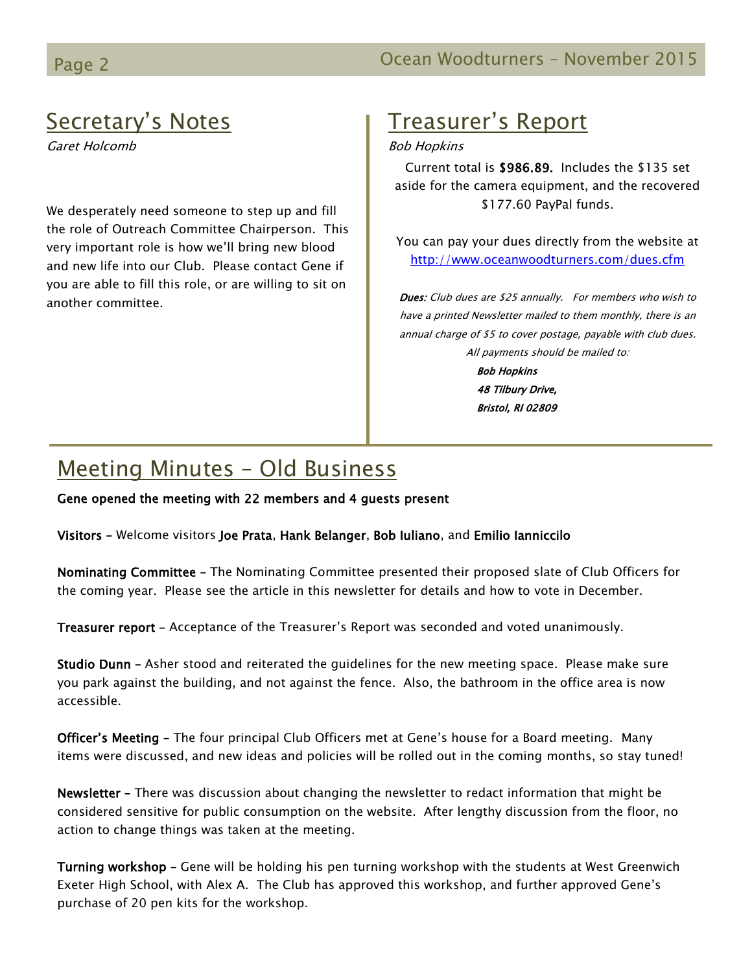# Secretary's Notes

Garet Holcomb

We desperately need someone to step up and fill the role of Outreach Committee Chairperson. This very important role is how we'll bring new blood and new life into our Club. Please contact Gene if you are able to fill this role, or are willing to sit on another committee.

# Treasurer's Report

#### Bob Hopkins

Current total is \$986.89. Includes the \$135 set aside for the camera equipment, and the recovered \$177.60 PayPal funds.

You can pay your dues directly from the website at <http://www.oceanwoodturners.com/dues.cfm>

Dues: Club dues are \$25 annually. For members who wish to have a printed Newsletter mailed to them monthly, there is an annual charge of \$5 to cover postage, payable with club dues. All payments should be mailed to: Bob Hopkins 48 Tilbury Drive,

Bristol, RI 02809

# Meeting Minutes – Old Business

Gene opened the meeting with 22 members and 4 guests present

Visitors – Welcome visitors Joe Prata, Hank Belanger, Bob Iuliano, and Emilio Ianniccilo

Nominating Committee – The Nominating Committee presented their proposed slate of Club Officers for the coming year. Please see the article in this newsletter for details and how to vote in December.

Treasurer report – Acceptance of the Treasurer's Report was seconded and voted unanimously.

Studio Dunn – Asher stood and reiterated the guidelines for the new meeting space. Please make sure you park against the building, and not against the fence. Also, the bathroom in the office area is now accessible.

Officer's Meeting – The four principal Club Officers met at Gene's house for a Board meeting. Many items were discussed, and new ideas and policies will be rolled out in the coming months, so stay tuned!

Newsletter – There was discussion about changing the newsletter to redact information that might be considered sensitive for public consumption on the website. After lengthy discussion from the floor, no action to change things was taken at the meeting.

Turning workshop - Gene will be holding his pen turning workshop with the students at West Greenwich Exeter High School, with Alex A. The Club has approved this workshop, and further approved Gene's purchase of 20 pen kits for the workshop.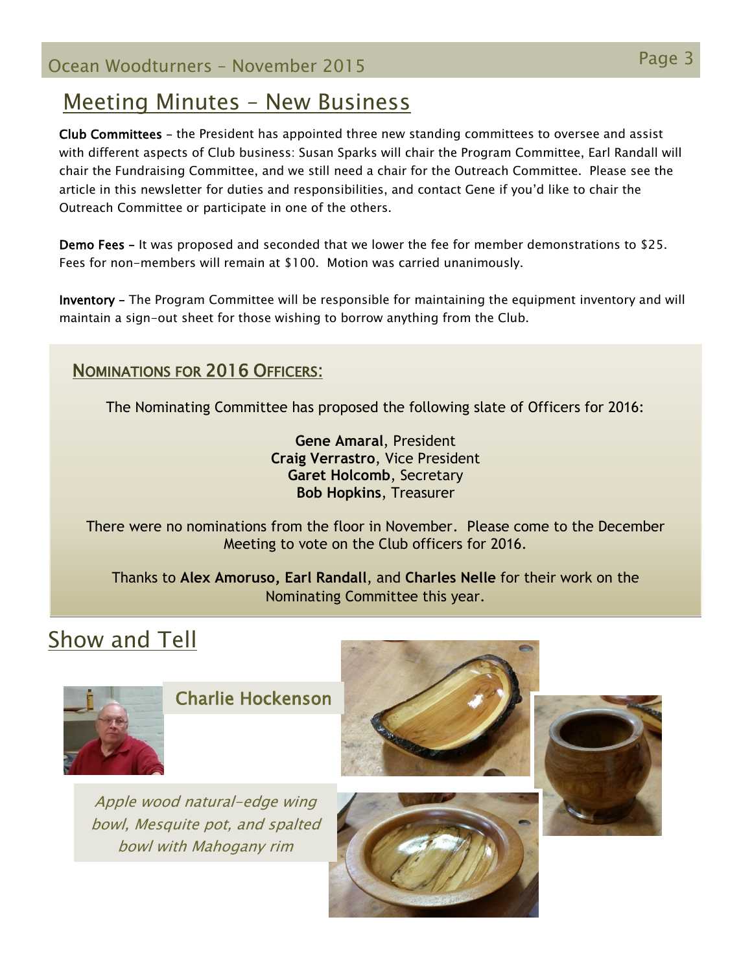Page 3 Ocean Woodturners – November <sup>2015</sup>

## Meeting Minutes – New Business

Club Committees – the President has appointed three new standing committees to oversee and assist with different aspects of Club business: Susan Sparks will chair the Program Committee, Earl Randall will chair the Fundraising Committee, and we still need a chair for the Outreach Committee. Please see the article in this newsletter for duties and responsibilities, and contact Gene if you'd like to chair the Outreach Committee or participate in one of the others.

Demo Fees – It was proposed and seconded that we lower the fee for member demonstrations to \$25. Fees for non-members will remain at \$100. Motion was carried unanimously.

Inventory – The Program Committee will be responsible for maintaining the equipment inventory and will maintain a sign-out sheet for those wishing to borrow anything from the Club.

#### NOMINATIONS FOR 2016 OFFICERS:

The Nominating Committee has proposed the following slate of Officers for 2016:

**Gene Amaral**, President **Craig Verrastro**, Vice President **Garet Holcomb**, Secretary **Bob Hopkins**, Treasurer

There were no nominations from the floor in November. Please come to the December Meeting to vote on the Club officers for 2016.

Thanks to **Alex Amoruso, Earl Randall**, and **Charles Nelle** for their work on the Nominating Committee this year.

# Show and Tell



Charlie Hockenson

Apple wood natural-edge wing bowl, Mesquite pot, and spalted bowl with Mahogany rim







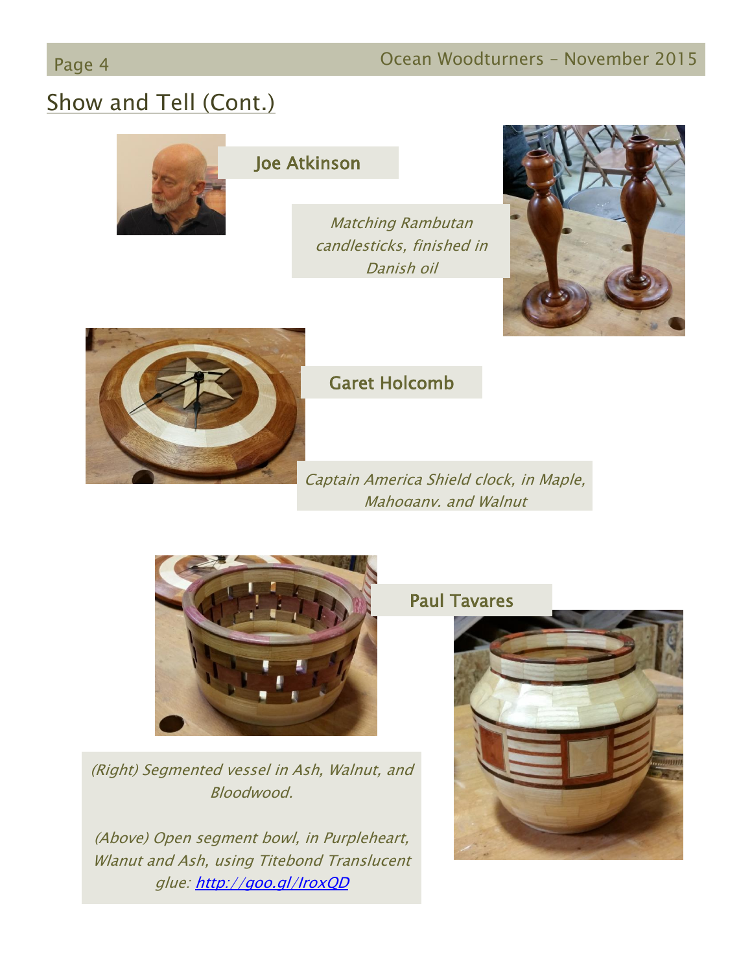# Show and Tell (Cont.)



### Joe Atkinson

Matching Rambutan candlesticks, finished in Danish oil





### Garet Holcomb

Captain America Shield clock, in Maple, Mahogany, and Walnut



(Right) Segmented vessel in Ash, Walnut, and Bloodwood.

(Above) Open segment bowl, in Purpleheart, Wlanut and Ash, using Titebond Translucent glue:<http://goo.gl/IroxQD>

### Paul Tavares

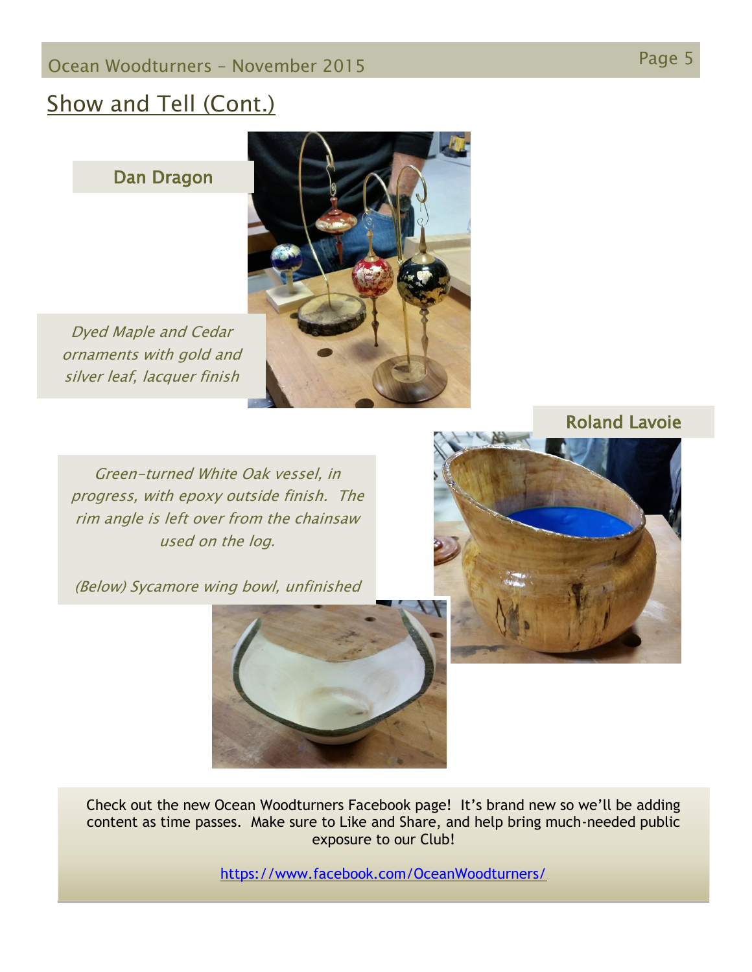# Page 5 Ocean Woodturners – November <sup>2015</sup>

# Show and Tell (Cont.)

Dan Dragon

Dyed Maple and Cedar ornaments with gold and silver leaf, lacquer finish

Green-turned White Oak vessel, in progress, with epoxy outside finish. The rim angle is left over from the chainsaw used on the log.

(Below) Sycamore wing bowl, unfinished



Check out the new Ocean Woodturners Facebook page! It's brand new so we'll be adding content as time passes. Make sure to Like and Share, and help bring much-needed public exposure to our Club!

<https://www.facebook.com/OceanWoodturners/>



Roland Lavoie

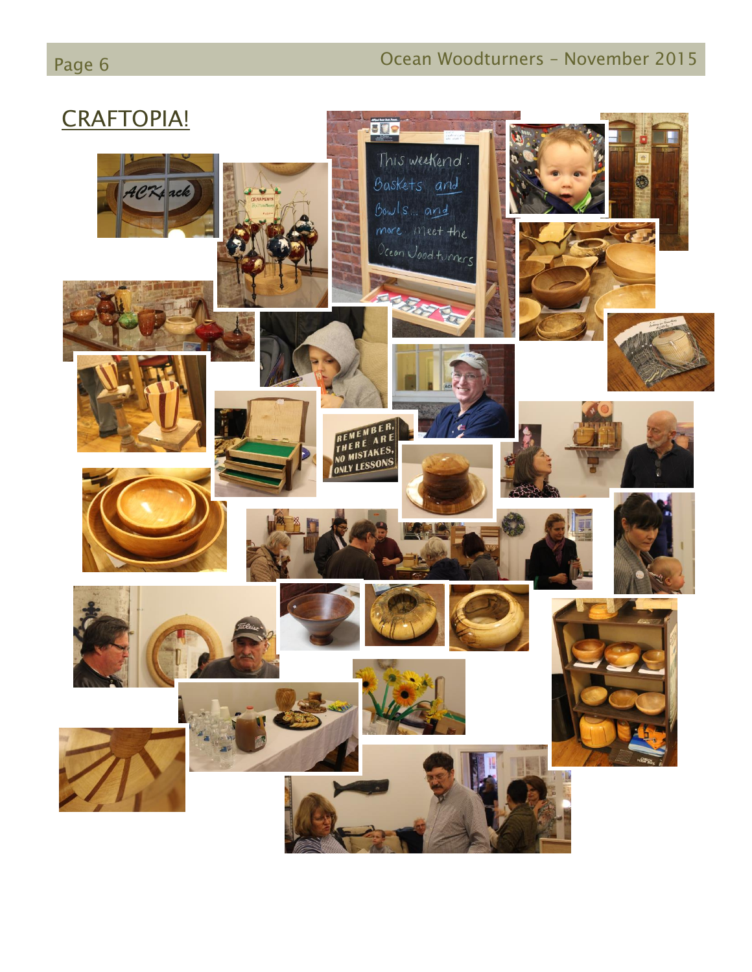# Page 6 **Detail Construction Community Community** Ocean Woodturners – November 2015

# CRAFTOPIA!

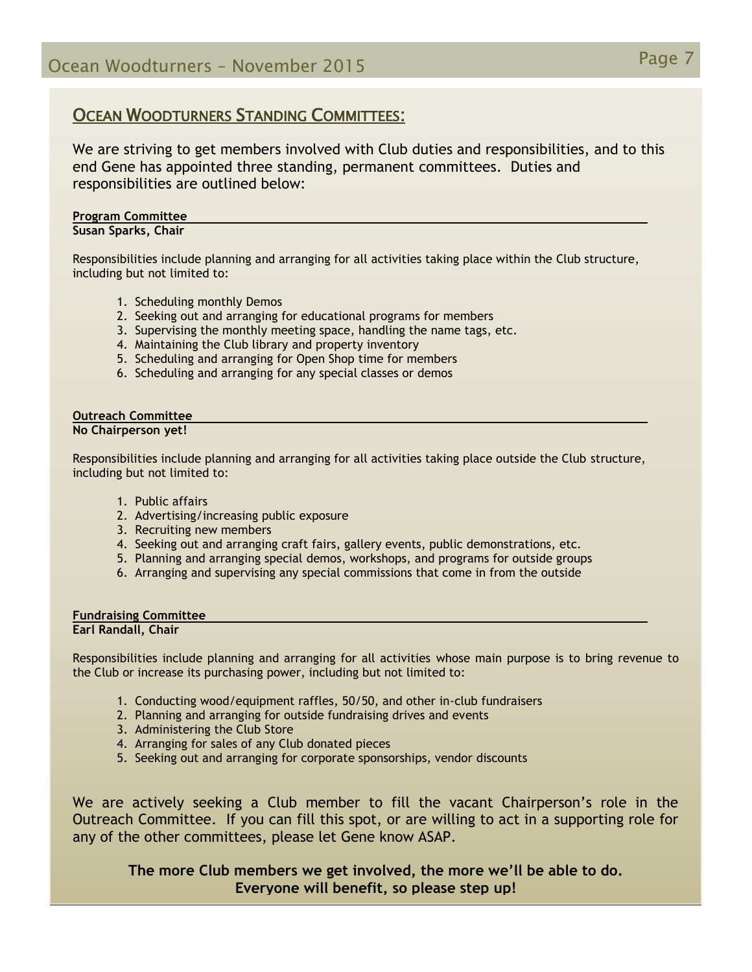#### OCEAN WOODTURNERS STANDING COMMITTEES:

We are striving to get members involved with Club duties and responsibilities, and to this end Gene has appointed three standing, permanent committees. Duties and responsibilities are outlined below:

#### **Program Committee Susan Sparks, Chair**

Responsibilities include planning and arranging for all activities taking place within the Club structure, including but not limited to:

- 1. Scheduling monthly Demos
- 2. Seeking out and arranging for educational programs for members
- 3. Supervising the monthly meeting space, handling the name tags, etc.
- 4. Maintaining the Club library and property inventory
- 5. Scheduling and arranging for Open Shop time for members
- 6. Scheduling and arranging for any special classes or demos

#### **Outreach Committee**

**No Chairperson yet!**

Responsibilities include planning and arranging for all activities taking place outside the Club structure, including but not limited to:

- 1. Public affairs
- 2. Advertising/increasing public exposure
- 3. Recruiting new members
- 4. Seeking out and arranging craft fairs, gallery events, public demonstrations, etc.
- 5. Planning and arranging special demos, workshops, and programs for outside groups
- 6. Arranging and supervising any special commissions that come in from the outside

#### **Fundraising Committee Earl Randall, Chair**

Responsibilities include planning and arranging for all activities whose main purpose is to bring revenue to the Club or increase its purchasing power, including but not limited to:

- 1. Conducting wood/equipment raffles, 50/50, and other in-club fundraisers
- 2. Planning and arranging for outside fundraising drives and events
- 3. Administering the Club Store
- 4. Arranging for sales of any Club donated pieces
- 5. Seeking out and arranging for corporate sponsorships, vendor discounts

We are actively seeking a Club member to fill the vacant Chairperson's role in the Outreach Committee. If you can fill this spot, or are willing to act in a supporting role for any of the other committees, please let Gene know ASAP.

**The more Club members we get involved, the more we'll be able to do. Everyone will benefit, so please step up!**